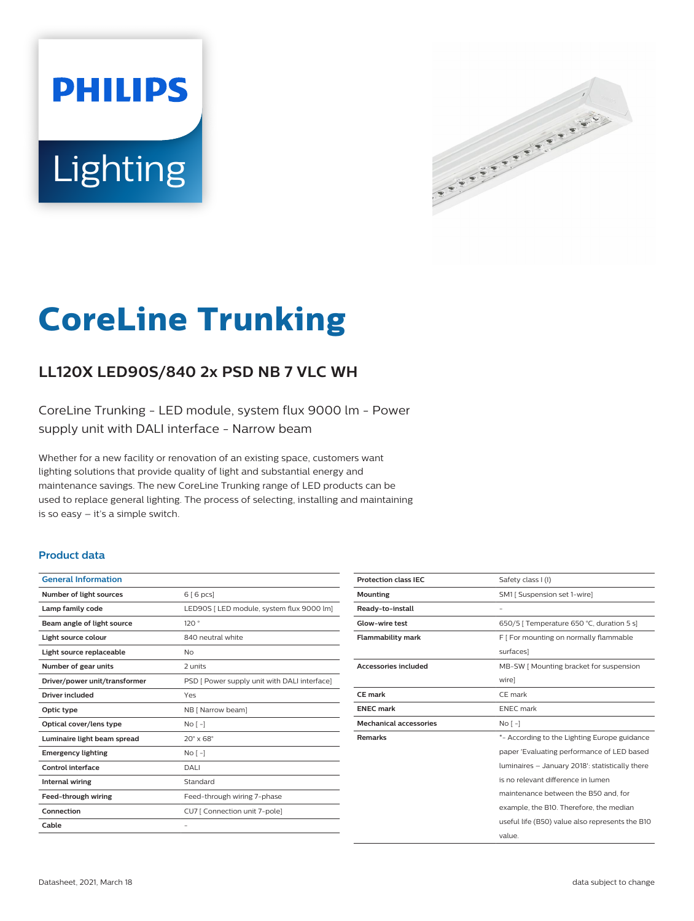# **PHILIPS** Lighting



# **CoreLine Trunking**

# **LL120X LED90S/840 2x PSD NB 7 VLC WH**

CoreLine Trunking - LED module, system flux 9000 lm - Power supply unit with DALI interface - Narrow beam

Whether for a new facility or renovation of an existing space, customers want lighting solutions that provide quality of light and substantial energy and maintenance savings. The new CoreLine Trunking range of LED products can be used to replace general lighting. The process of selecting, installing and maintaining is so easy – it's a simple switch.

#### **Product data**

| <b>General Information</b>    |                                              |
|-------------------------------|----------------------------------------------|
| Number of light sources       | 6 [6 pcs]                                    |
| Lamp family code              | LED90S   LED module, system flux 9000 lm]    |
| Beam angle of light source    | 120°                                         |
| Light source colour           | 840 neutral white                            |
| Light source replaceable      | No                                           |
| Number of gear units          | 2 units                                      |
| Driver/power unit/transformer | PSD [ Power supply unit with DALI interface] |
| Driver included               | Yes                                          |
| Optic type                    | NB [ Narrow beam]                            |
| Optical cover/lens type       | No <sub>1</sub>                              |
| Luminaire light beam spread   | $20^\circ \times 68^\circ$                   |
| <b>Emergency lighting</b>     | No <sub>1</sub>                              |
| Control interface             | <b>DALI</b>                                  |
| <b>Internal wiring</b>        | Standard                                     |
| Feed-through wiring           | Feed-through wiring 7-phase                  |
| Connection                    | CU7 [ Connection unit 7-pole]                |
| Cable                         |                                              |
|                               |                                              |

| <b>Protection class IEC</b>   | Safety class I (I)                              |
|-------------------------------|-------------------------------------------------|
| <b>Mounting</b>               | SM1 [ Suspension set 1-wire]                    |
| Ready-to-install              |                                                 |
| <b>Glow-wire test</b>         | 650/5   Temperature 650 °C, duration 5 s]       |
| <b>Flammability mark</b>      | F [ For mounting on normally flammable          |
|                               | surfaces]                                       |
| <b>Accessories included</b>   | MB-SW   Mounting bracket for suspension         |
|                               | wire]                                           |
| <b>CE</b> mark                | CE mark                                         |
| <b>ENEC mark</b>              | <b>ENEC</b> mark                                |
| <b>Mechanical accessories</b> | No <sub>1</sub>                                 |
| <b>Remarks</b>                | *- According to the Lighting Europe guidance    |
|                               | paper 'Evaluating performance of LED based      |
|                               | luminaires - January 2018': statistically there |
|                               | is no relevant difference in lumen              |
|                               | maintenance between the B50 and, for            |
|                               | example, the B10. Therefore, the median         |
|                               |                                                 |
|                               | useful life (B50) value also represents the B10 |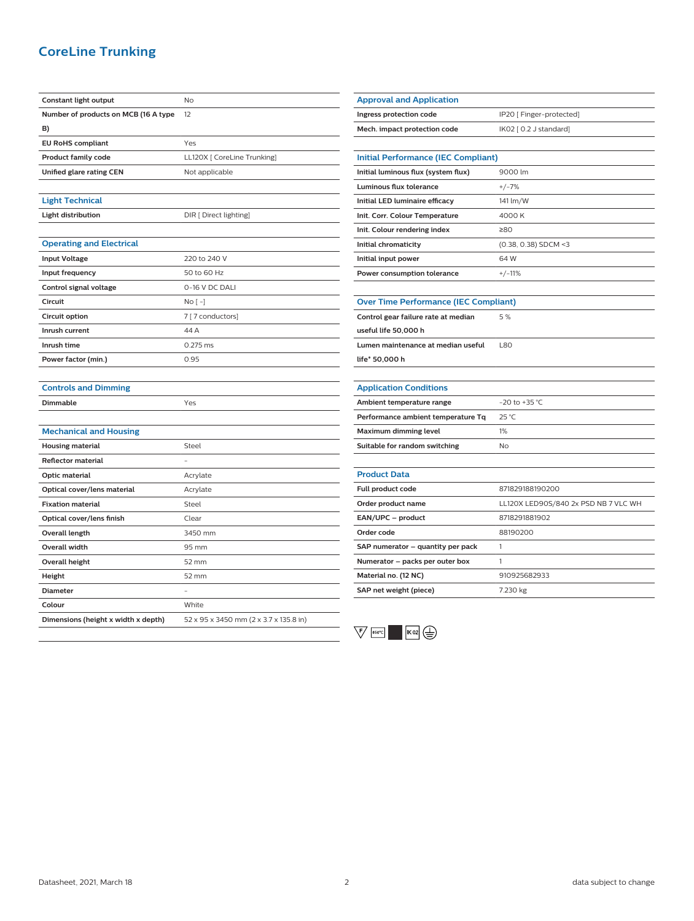#### **CoreLine Trunking**

| Constant light output                | No                                     |
|--------------------------------------|----------------------------------------|
| Number of products on MCB (16 A type | 12                                     |
| B)                                   |                                        |
| <b>EU RoHS compliant</b>             | Yes                                    |
| <b>Product family code</b>           | LL120X [ CoreLine Trunking]            |
| Unified glare rating CEN             | Not applicable                         |
|                                      |                                        |
| <b>Light Technical</b>               |                                        |
| Light distribution                   | DIR [ Direct lighting]                 |
|                                      |                                        |
| <b>Operating and Electrical</b>      |                                        |
| <b>Input Voltage</b>                 | 220 to 240 V                           |
| Input frequency                      | 50 to 60 Hz                            |
| Control signal voltage               | 0-16 V DC DALI                         |
| Circuit                              | $No [-]$                               |
| Circuit option                       | 7 [7 conductors]                       |
| Inrush current                       | 44 A                                   |
| Inrush time                          | 0.275 ms                               |
| Power factor (min.)                  | 0.95                                   |
|                                      |                                        |
| <b>Controls and Dimming</b>          |                                        |
| Dimmable                             | Yes                                    |
|                                      |                                        |
| <b>Mechanical and Housing</b>        |                                        |
| Housing material                     | Steel                                  |
| <b>Reflector material</b>            |                                        |
| <b>Optic material</b>                | Acrylate                               |
| Optical cover/lens material          | Acrylate                               |
| <b>Fixation material</b>             | Steel                                  |
| Optical cover/lens finish            | Clear                                  |
| Overall length                       | 3450 mm                                |
| <b>Overall width</b>                 | 95 mm                                  |
| <b>Overall height</b>                | 52 mm                                  |
| Height                               | 52 mm                                  |
| <b>Diameter</b>                      |                                        |
| Colour                               | White                                  |
| Dimensions (height x width x depth)  | 52 x 95 x 3450 mm (2 x 3.7 x 135.8 in) |
|                                      |                                        |

| <b>Approval and Application</b>              |                                            |  |
|----------------------------------------------|--------------------------------------------|--|
| Ingress protection code                      | IP20 [ Finger-protected]                   |  |
| Mech. impact protection code                 | IK02 [ 0.2 J standard]                     |  |
|                                              |                                            |  |
|                                              | <b>Initial Performance (IEC Compliant)</b> |  |
| Initial luminous flux (system flux)          | 9000 lm                                    |  |
| <b>Luminous flux tolerance</b>               | $+/-7%$                                    |  |
| Initial LED luminaire efficacy               | 141 lm/W                                   |  |
| Init. Corr. Colour Temperature               | 4000 K                                     |  |
| Init. Colour rendering index                 | ≥80                                        |  |
| Initial chromaticity                         | (0.38, 0.38) SDCM <3                       |  |
| Initial input power                          | 64W                                        |  |
| Power consumption tolerance                  | $+/-11%$                                   |  |
|                                              |                                            |  |
| <b>Over Time Performance (IEC Compliant)</b> |                                            |  |
| Control gear failure rate at median          | 5%                                         |  |
| useful life 50,000 h                         |                                            |  |
| Lumen maintenance at median useful           | <b>L80</b>                                 |  |
| life* 50,000 h                               |                                            |  |
|                                              |                                            |  |
| <b>Application Conditions</b>                |                                            |  |
| Ambient temperature range                    | $-20$ to $+35$ °C                          |  |
| Performance ambient temperature Tq           | 25 °C                                      |  |
| <b>Maximum dimming level</b>                 | 1%                                         |  |
| Suitable for random switching                | No                                         |  |
|                                              |                                            |  |
| <b>Product Data</b>                          |                                            |  |
| Full product code                            | 871829188190200                            |  |
| Order product name                           | LL120X LED90S/840 2x PSD NB 7 VLC WH       |  |
| EAN/UPC - product                            | 8718291881902                              |  |
| Order code                                   | 88190200                                   |  |
|                                              | 1                                          |  |
| SAP numerator - quantity per pack            |                                            |  |
| Numerator - packs per outer box              | 1                                          |  |
| Material no. (12 NC)                         | 910925682933                               |  |

 $\sqrt{\frac{1}{2}}$   $\frac{650^{\circ}C}{1}$   $\frac{1}{100}$   $\frac{1}{100}$   $\frac{1}{100}$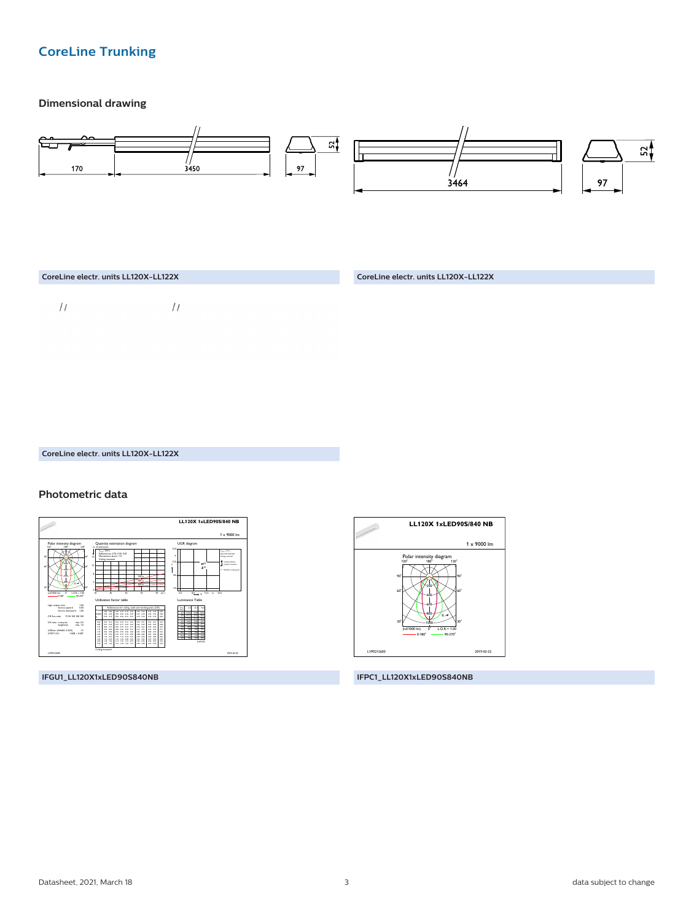### **CoreLine Trunking**

#### **Dimensional drawing**



## CoreLine electr. units LL120X-LL122X

#### Photometric data



IFGU1\_LL120X1xLED90S840NB



IFPC1\_LL120X1xLED90S840NB